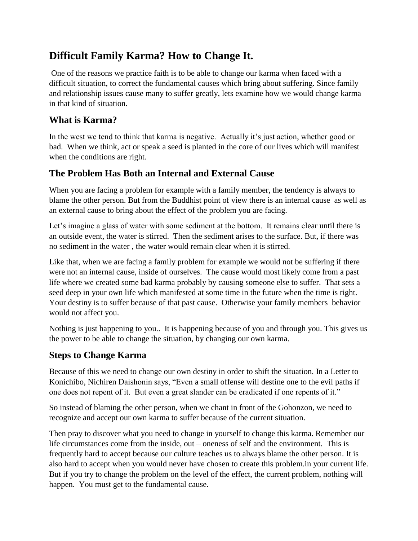# **Difficult Family Karma? How to Change It.**

One of the reasons we practice faith is to be able to change our karma when faced with a difficult situation, to correct the fundamental causes which bring about suffering. Since family and relationship issues cause many to suffer greatly, lets examine how we would change karma in that kind of situation.

### **What is Karma?**

In the west we tend to think that karma is negative. Actually it's just action, whether good or bad. When we think, act or speak a seed is planted in the core of our lives which will manifest when the conditions are right.

## **The Problem Has Both an Internal and External Cause**

When you are facing a problem for example with a family member, the tendency is always to blame the other person. But from the Buddhist point of view there is an internal cause as well as an external cause to bring about the effect of the problem you are facing.

Let's imagine a glass of water with some sediment at the bottom. It remains clear until there is an outside event, the water is stirred. Then the sediment arises to the surface. But, if there was no sediment in the water , the water would remain clear when it is stirred.

Like that, when we are facing a family problem for example we would not be suffering if there were not an internal cause, inside of ourselves. The cause would most likely come from a past life where we created some bad karma probably by causing someone else to suffer. That sets a seed deep in your own life which manifested at some time in the future when the time is right. Your destiny is to suffer because of that past cause. Otherwise your family members behavior would not affect you.

Nothing is just happening to you.. It is happening because of you and through you. This gives us the power to be able to change the situation, by changing our own karma.

#### **Steps to Change Karma**

Because of this we need to change our own destiny in order to shift the situation. In a Letter to Konichibo, Nichiren Daishonin says, "Even a small offense will destine one to the evil paths if one does not repent of it. But even a great slander can be eradicated if one repents of it."

So instead of blaming the other person, when we chant in front of the Gohonzon, we need to recognize and accept our own karma to suffer because of the current situation.

Then pray to discover what you need to change in yourself to change this karma. Remember our life circumstances come from the inside, out – oneness of self and the environment. This is frequently hard to accept because our culture teaches us to always blame the other person. It is also hard to accept when you would never have chosen to create this problem.in your current life. But if you try to change the problem on the level of the effect, the current problem, nothing will happen. You must get to the fundamental cause.